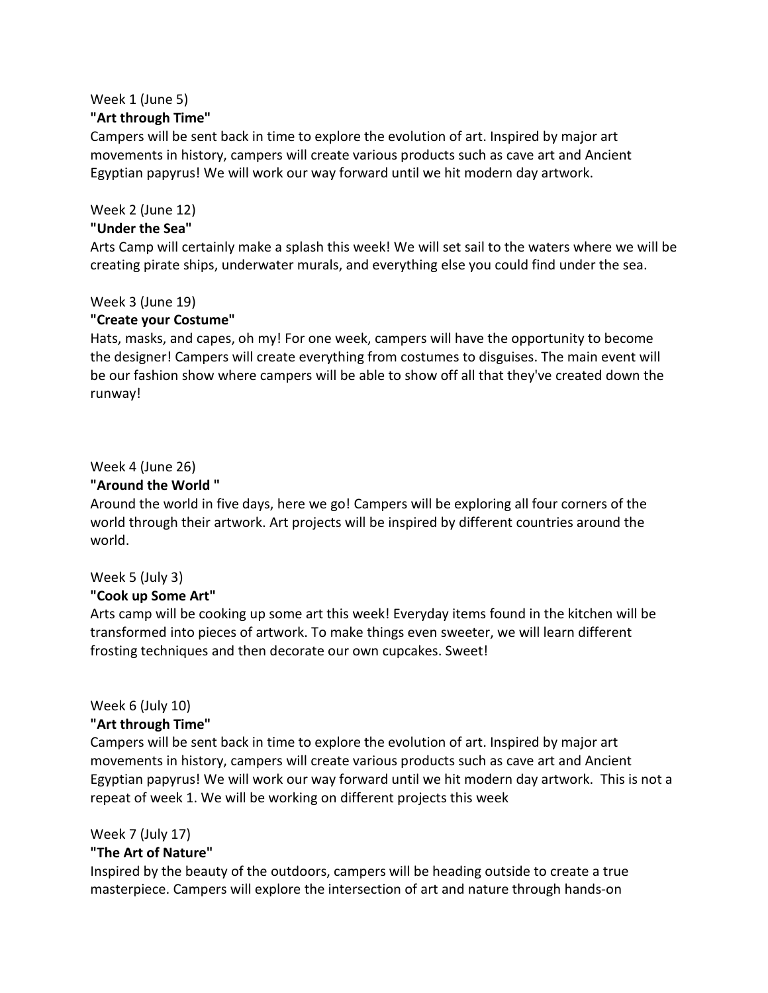# Week 1 (June 5)

#### **"Art through Time"**

Campers will be sent back in time to explore the evolution of art. Inspired by major art movements in history, campers will create various products such as cave art and Ancient Egyptian papyrus! We will work our way forward until we hit modern day artwork.

Week 2 (June 12)

#### **"Under the Sea"**

Arts Camp will certainly make a splash this week! We will set sail to the waters where we will be creating pirate ships, underwater murals, and everything else you could find under the sea.

Week 3 (June 19)

#### **"Create your Costume"**

Hats, masks, and capes, oh my! For one week, campers will have the opportunity to become the designer! Campers will create everything from costumes to disguises. The main event will be our fashion show where campers will be able to show off all that they've created down the runway!

## Week 4 (June 26)

#### **"Around the World "**

Around the world in five days, here we go! Campers will be exploring all four corners of the world through their artwork. Art projects will be inspired by different countries around the world.

## Week 5 (July 3)

## **"Cook up Some Art"**

Arts camp will be cooking up some art this week! Everyday items found in the kitchen will be transformed into pieces of artwork. To make things even sweeter, we will learn different frosting techniques and then decorate our own cupcakes. Sweet!

## Week 6 (July 10)

## **"Art through Time"**

Campers will be sent back in time to explore the evolution of art. Inspired by major art movements in history, campers will create various products such as cave art and Ancient Egyptian papyrus! We will work our way forward until we hit modern day artwork. This is not a repeat of week 1. We will be working on different projects this week

## Week 7 (July 17)

## **"The Art of Nature"**

Inspired by the beauty of the outdoors, campers will be heading outside to create a true masterpiece. Campers will explore the intersection of art and nature through hands-on